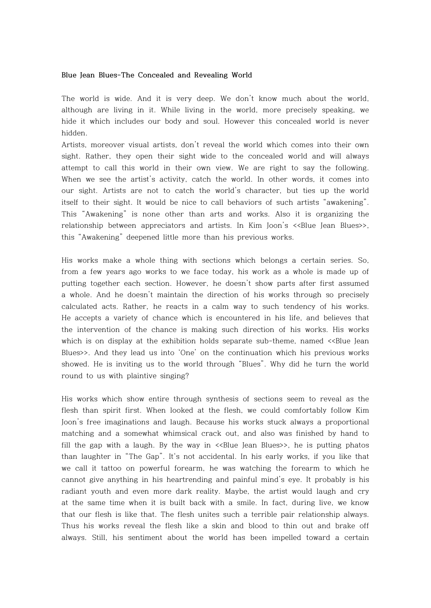## **Blue Jean Blues-The Concealed and Revealing World**

The world is wide. And it is very deep. We don't know much about the world, although are living in it. While living in the world, more precisely speaking, we hide it which includes our body and soul. However this concealed world is never hidden.

Artists, moreover visual artists, don't reveal the world which comes into their own sight. Rather, they open their sight wide to the concealed world and will always attempt to call this world in their own view. We are right to say the following. When we see the artist's activity, catch the world. In other words, it comes into our sight. Artists are not to catch the world's character, but ties up the world itself to their sight. It would be nice to call behaviors of such artists "awakening". This "Awakening" is none other than arts and works. Also it is organizing the relationship between appreciators and artists. In Kim Joon's <<Blue Jean Blues>>, this "Awakening" deepened little more than his previous works.

His works make a whole thing with sections which belongs a certain series. So, from a few years ago works to we face today, his work as a whole is made up of putting together each section. However, he doesn't show parts after first assumed a whole. And he doesn't maintain the direction of his works through so precisely calculated acts. Rather, he reacts in a calm way to such tendency of his works. He accepts a variety of chance which is encountered in his life, and believes that the intervention of the chance is making such direction of his works. His works which is on display at the exhibition holds separate sub-theme, named <<Blue Jean Blues>>. And they lead us into 'One' on the continuation which his previous works showed. He is inviting us to the world through "Blues". Why did he turn the world round to us with plaintive singing?

His works which show entire through synthesis of sections seem to reveal as the flesh than spirit first. When looked at the flesh, we could comfortably follow Kim Joon's free imaginations and laugh. Because his works stuck always a proportional matching and a somewhat whimsical crack out, and also was finished by hand to fill the gap with a laugh. By the way in  $\leq$ Blue Jean Blues>>, he is putting phatos than laughter in "The Gap". It's not accidental. In his early works, if you like that we call it tattoo on powerful forearm, he was watching the forearm to which he cannot give anything in his heartrending and painful mind's eye. It probably is his radiant youth and even more dark reality. Maybe, the artist would laugh and cry at the same time when it is built back with a smile. In fact, during live, we know that our flesh is like that. The flesh unites such a terrible pair relationship always. Thus his works reveal the flesh like a skin and blood to thin out and brake off always. Still, his sentiment about the world has been impelled toward a certain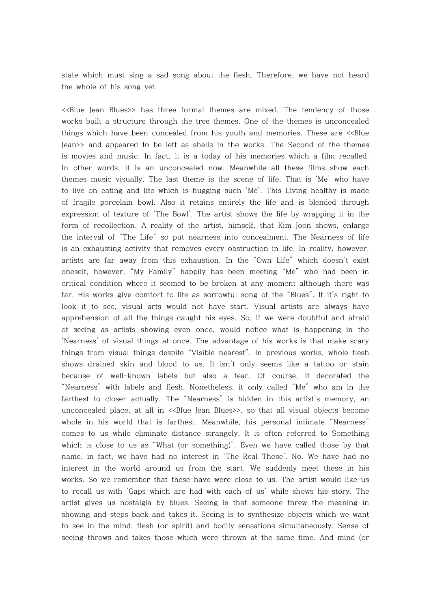state which must sing a sad song about the flesh. Therefore, we have not heard the whole of his song yet.

<<Blue Jean Blues>> has three formal themes are mixed. The tendency of those works built a structure through the tree themes. One of the themes is unconcealed things which have been concealed from his youth and memories. These are <<Blue Jean>> and appeared to be left as shells in the works. The Second of the themes is movies and music. In fact, it is a today of his memories which a film recalled. In other words, it is an unconcealed now. Meanwhile all these films show each themes music visually. The last theme is the scene of life. That is 'Me' who have to live on eating and life which is hugging such 'Me'. This Living healthy is made of fragile porcelain bowl. Also it retains entirely the life and is blended through expression of texture of 'The Bowl'. The artist shows the life by wrapping it in the form of recollection. A reality of the artist, himself, that Kim Joon shows, enlarge the interval of "The Life" so put nearness into concealment. The Nearness of life is an exhausting activity that removes every obstruction in life. In reality, however, artists are far away from this exhaustion. In the "Own Life" which doesn't exist oneself, however, "My Family" happily has been meeting "Me" who had been in critical condition where it seemed to be broken at any moment although there was far. His works give comfort to life as sorrowful song of the "Blues". If it's right to look it to see, visual arts would not have start. Visual artists are always have apprehension of all the things caught his eyes. So, if we were doubtful and afraid of seeing as artists showing even once, would notice what is happening in the 'Nearness' of visual things at once. The advantage of his works is that make scary things from visual things despite "Visible nearest". In previous works, whole flesh shows drained skin and blood to us. It isn't only seems like a tattoo or stain because of well-known labels but also a fear. Of course, it decorated the "Nearness" with labels and flesh. Nonetheless, it only called "Me" who am in the farthest to closer actually. The "Nearness" is hidden in this artist's memory, an unconcealed place, at all in <<Blue Jean Blues>>, so that all visual objects become whole in his world that is farthest. Meanwhile, his personal intimate "Nearness" comes to us while eliminate distance strangely. It is often referred to Something which is close to us as "What (or something)". Even we have called those by that name, in fact, we have had no interest in 'The Real Those'. No. We have had no interest in the world around us from the start. We suddenly meet these in his works. So we remember that these have were close to us. The artist would like us to recall us with 'Gaps which are had with each of us' while shows his story. The artist gives us nostalgia by blues. Seeing is that someone threw the meaning in showing and steps back and takes it. Seeing is to synthesize objects which we want to see in the mind, flesh (or spirit) and bodily sensations simultaneously. Sense of seeing throws and takes those which were thrown at the same time. And mind (or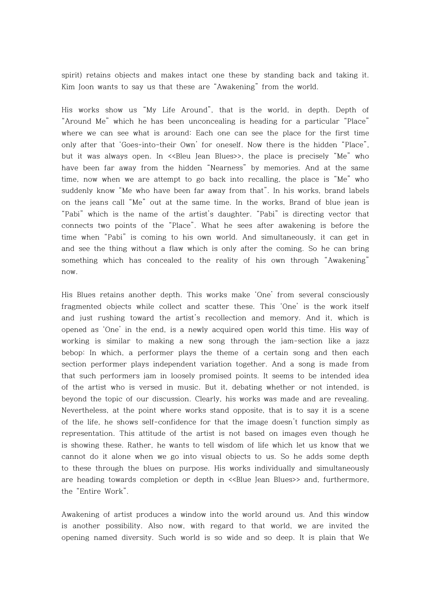spirit) retains objects and makes intact one these by standing back and taking it. Kim Joon wants to say us that these are "Awakening" from the world.

His works show us "My Life Around", that is the world, in depth. Depth of "Around Me" which he has been unconcealing is heading for a particular "Place" where we can see what is around: Each one can see the place for the first time only after that 'Goes-into-their Own' for oneself. Now there is the hidden "Place", but it was always open. In <<Bleu Jean Blues>>, the place is precisely "Me" who have been far away from the hidden "Nearness" by memories. And at the same time, now when we are attempt to go back into recalling, the place is "Me" who suddenly know "Me who have been far away from that". In his works, brand labels on the jeans call "Me" out at the same time. In the works, Brand of blue jean is "Pabi" which is the name of the artist's daughter. "Pabi" is directing vector that connects two points of the "Place". What he sees after awakening is before the time when "Pabi" is coming to his own world. And simultaneously, it can get in and see the thing without a flaw which is only after the coming. So he can bring something which has concealed to the reality of his own through "Awakening" now.

His Blues retains another depth. This works make 'One' from several consciously fragmented objects while collect and scatter these. This 'One' is the work itself and just rushing toward the artist's recollection and memory. And it, which is opened as 'One' in the end, is a newly acquired open world this time. His way of working is similar to making a new song through the jam-section like a jazz bebop: In which, a performer plays the theme of a certain song and then each section performer plays independent variation together. And a song is made from that such performers jam in loosely promised points. It seems to be intended idea of the artist who is versed in music. But it, debating whether or not intended, is beyond the topic of our discussion. Clearly, his works was made and are revealing. Nevertheless, at the point where works stand opposite, that is to say it is a scene of the life, he shows self-confidence for that the image doesn't function simply as representation. This attitude of the artist is not based on images even though he is showing these. Rather, he wants to tell wisdom of life which let us know that we cannot do it alone when we go into visual objects to us. So he adds some depth to these through the blues on purpose. His works individually and simultaneously are heading towards completion or depth in <<Blue Jean Blues>> and, furthermore, the "Entire Work".

Awakening of artist produces a window into the world around us. And this window is another possibility. Also now, with regard to that world, we are invited the opening named diversity. Such world is so wide and so deep. It is plain that We